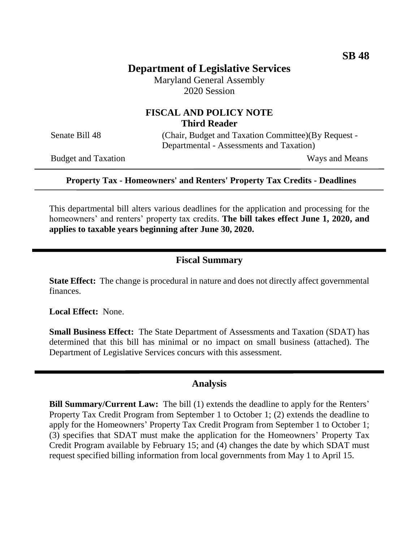# **Department of Legislative Services**

Maryland General Assembly 2020 Session

## **FISCAL AND POLICY NOTE Third Reader**

Senate Bill 48 (Chair, Budget and Taxation Committee)(By Request -Departmental - Assessments and Taxation)

Budget and Taxation Ways and Means

### **Property Tax - Homeowners' and Renters' Property Tax Credits - Deadlines**

This departmental bill alters various deadlines for the application and processing for the homeowners' and renters' property tax credits. **The bill takes effect June 1, 2020, and applies to taxable years beginning after June 30, 2020.** 

### **Fiscal Summary**

**State Effect:** The change is procedural in nature and does not directly affect governmental finances.

**Local Effect:** None.

**Small Business Effect:** The State Department of Assessments and Taxation (SDAT) has determined that this bill has minimal or no impact on small business (attached). The Department of Legislative Services concurs with this assessment.

#### **Analysis**

**Bill Summary/Current Law:** The bill (1) extends the deadline to apply for the Renters' Property Tax Credit Program from September 1 to October 1; (2) extends the deadline to apply for the Homeowners' Property Tax Credit Program from September 1 to October 1; (3) specifies that SDAT must make the application for the Homeowners' Property Tax Credit Program available by February 15; and (4) changes the date by which SDAT must request specified billing information from local governments from May 1 to April 15.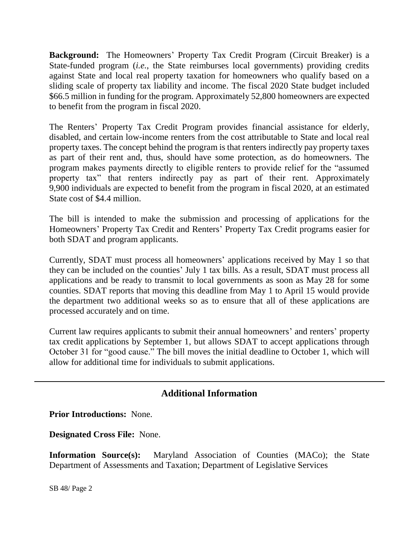**Background:** The Homeowners' Property Tax Credit Program (Circuit Breaker) is a State-funded program (*i.e.*, the State reimburses local governments) providing credits against State and local real property taxation for homeowners who qualify based on a sliding scale of property tax liability and income. The fiscal 2020 State budget included \$66.5 million in funding for the program. Approximately 52,800 homeowners are expected to benefit from the program in fiscal 2020.

The Renters' Property Tax Credit Program provides financial assistance for elderly, disabled, and certain low-income renters from the cost attributable to State and local real property taxes. The concept behind the program is that renters indirectly pay property taxes as part of their rent and, thus, should have some protection, as do homeowners. The program makes payments directly to eligible renters to provide relief for the "assumed property tax" that renters indirectly pay as part of their rent. Approximately 9,900 individuals are expected to benefit from the program in fiscal 2020, at an estimated State cost of \$4.4 million.

The bill is intended to make the submission and processing of applications for the Homeowners' Property Tax Credit and Renters' Property Tax Credit programs easier for both SDAT and program applicants.

Currently, SDAT must process all homeowners' applications received by May 1 so that they can be included on the counties' July 1 tax bills. As a result, SDAT must process all applications and be ready to transmit to local governments as soon as May 28 for some counties. SDAT reports that moving this deadline from May 1 to April 15 would provide the department two additional weeks so as to ensure that all of these applications are processed accurately and on time.

Current law requires applicants to submit their annual homeowners' and renters' property tax credit applications by September 1, but allows SDAT to accept applications through October 31 for "good cause." The bill moves the initial deadline to October 1, which will allow for additional time for individuals to submit applications.

## **Additional Information**

**Prior Introductions:** None.

**Designated Cross File:** None.

**Information Source(s):** Maryland Association of Counties (MACo); the State Department of Assessments and Taxation; Department of Legislative Services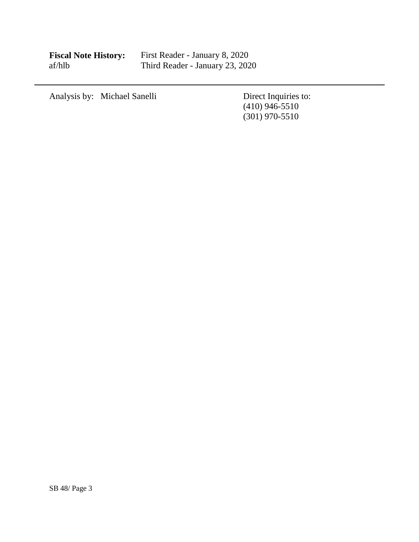| <b>Fiscal Note History:</b> |
|-----------------------------|
| af/hlb                      |

First Reader - January 8, 2020 Third Reader - January 23, 2020

Analysis by: Michael Sanelli Direct Inquiries to:

(410) 946-5510 (301) 970-5510